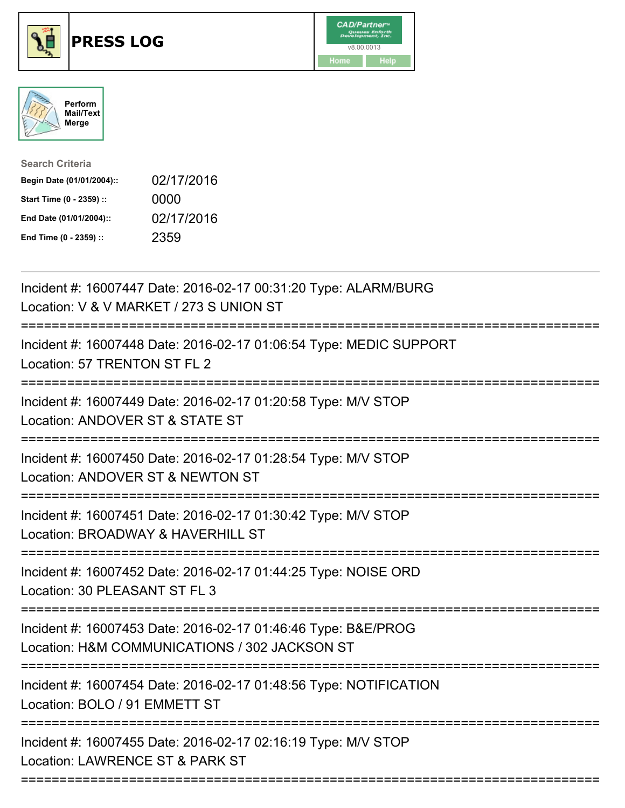





Search Criteria Begin Date (01/01/2004):: 02/17/2016 Start Time (0 - 2359) :: 0000 End Date (01/01/2004):: 02/17/2016 End Time (0 - 2359) :: 2359

| Incident #: 16007447 Date: 2016-02-17 00:31:20 Type: ALARM/BURG<br>Location: V & V MARKET / 273 S UNION ST<br>=======================    |
|------------------------------------------------------------------------------------------------------------------------------------------|
| Incident #: 16007448 Date: 2016-02-17 01:06:54 Type: MEDIC SUPPORT<br>Location: 57 TRENTON ST FL 2                                       |
| Incident #: 16007449 Date: 2016-02-17 01:20:58 Type: M/V STOP<br>Location: ANDOVER ST & STATE ST                                         |
| Incident #: 16007450 Date: 2016-02-17 01:28:54 Type: M/V STOP<br>Location: ANDOVER ST & NEWTON ST                                        |
| Incident #: 16007451 Date: 2016-02-17 01:30:42 Type: M/V STOP<br>Location: BROADWAY & HAVERHILL ST                                       |
| Incident #: 16007452 Date: 2016-02-17 01:44:25 Type: NOISE ORD<br>Location: 30 PLEASANT ST FL 3                                          |
| Incident #: 16007453 Date: 2016-02-17 01:46:46 Type: B&E/PROG<br>Location: H&M COMMUNICATIONS / 302 JACKSON ST<br>-------------------    |
| Incident #: 16007454 Date: 2016-02-17 01:48:56 Type: NOTIFICATION<br>Location: BOLO / 91 EMMETT ST                                       |
| Incident #: 16007455 Date: 2016-02-17 02:16:19 Type: M/V STOP<br>Location: LAWRENCE ST & PARK ST<br>==================================== |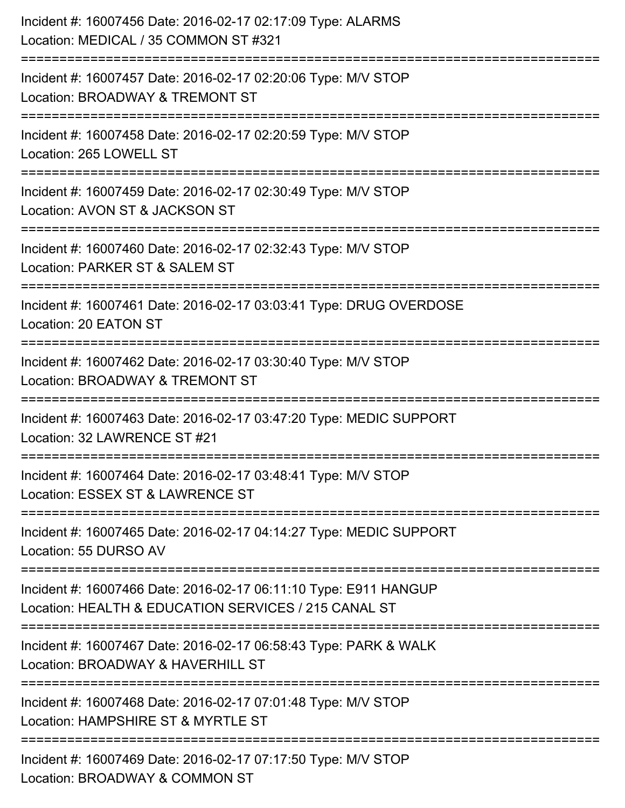| Incident #: 16007456 Date: 2016-02-17 02:17:09 Type: ALARMS<br>Location: MEDICAL / 35 COMMON ST #321                     |
|--------------------------------------------------------------------------------------------------------------------------|
| Incident #: 16007457 Date: 2016-02-17 02:20:06 Type: M/V STOP<br>Location: BROADWAY & TREMONT ST                         |
| Incident #: 16007458 Date: 2016-02-17 02:20:59 Type: M/V STOP<br>Location: 265 LOWELL ST                                 |
| Incident #: 16007459 Date: 2016-02-17 02:30:49 Type: M/V STOP<br>Location: AVON ST & JACKSON ST<br>:================     |
| Incident #: 16007460 Date: 2016-02-17 02:32:43 Type: M/V STOP<br>Location: PARKER ST & SALEM ST                          |
| Incident #: 16007461 Date: 2016-02-17 03:03:41 Type: DRUG OVERDOSE<br>Location: 20 EATON ST                              |
| Incident #: 16007462 Date: 2016-02-17 03:30:40 Type: M/V STOP<br>Location: BROADWAY & TREMONT ST                         |
| Incident #: 16007463 Date: 2016-02-17 03:47:20 Type: MEDIC SUPPORT<br>Location: 32 LAWRENCE ST #21                       |
| Incident #: 16007464 Date: 2016-02-17 03:48:41 Type: M/V STOP<br>Location: ESSEX ST & LAWRENCE ST                        |
| Incident #: 16007465 Date: 2016-02-17 04:14:27 Type: MEDIC SUPPORT<br>Location: 55 DURSO AV                              |
| Incident #: 16007466 Date: 2016-02-17 06:11:10 Type: E911 HANGUP<br>Location: HEALTH & EDUCATION SERVICES / 215 CANAL ST |
| Incident #: 16007467 Date: 2016-02-17 06:58:43 Type: PARK & WALK<br>Location: BROADWAY & HAVERHILL ST                    |
| Incident #: 16007468 Date: 2016-02-17 07:01:48 Type: M/V STOP<br>Location: HAMPSHIRE ST & MYRTLE ST                      |
| Incident #: 16007469 Date: 2016-02-17 07:17:50 Type: M/V STOP<br>Location: BROADWAY & COMMON ST                          |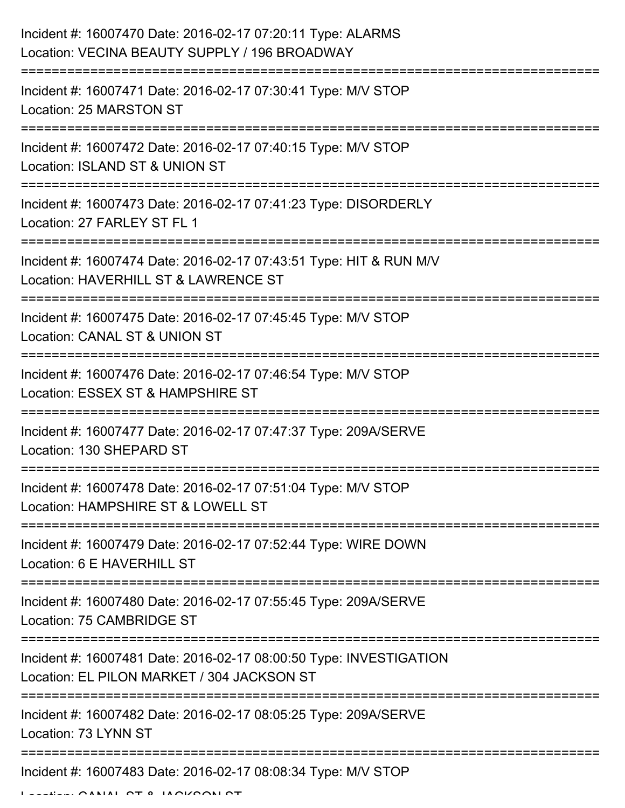| Incident #: 16007470 Date: 2016-02-17 07:20:11 Type: ALARMS<br>Location: VECINA BEAUTY SUPPLY / 196 BROADWAY     |
|------------------------------------------------------------------------------------------------------------------|
| Incident #: 16007471 Date: 2016-02-17 07:30:41 Type: M/V STOP<br>Location: 25 MARSTON ST                         |
| Incident #: 16007472 Date: 2016-02-17 07:40:15 Type: M/V STOP<br>Location: ISLAND ST & UNION ST                  |
| Incident #: 16007473 Date: 2016-02-17 07:41:23 Type: DISORDERLY<br>Location: 27 FARLEY ST FL 1                   |
| Incident #: 16007474 Date: 2016-02-17 07:43:51 Type: HIT & RUN M/V<br>Location: HAVERHILL ST & LAWRENCE ST       |
| Incident #: 16007475 Date: 2016-02-17 07:45:45 Type: M/V STOP<br>Location: CANAL ST & UNION ST                   |
| Incident #: 16007476 Date: 2016-02-17 07:46:54 Type: M/V STOP<br>Location: ESSEX ST & HAMPSHIRE ST               |
| Incident #: 16007477 Date: 2016-02-17 07:47:37 Type: 209A/SERVE<br>Location: 130 SHEPARD ST                      |
| Incident #: 16007478 Date: 2016-02-17 07:51:04 Type: M/V STOP<br>Location: HAMPSHIRE ST & LOWELL ST              |
| Incident #: 16007479 Date: 2016-02-17 07:52:44 Type: WIRE DOWN<br>Location: 6 E HAVERHILL ST                     |
| Incident #: 16007480 Date: 2016-02-17 07:55:45 Type: 209A/SERVE<br>Location: 75 CAMBRIDGE ST                     |
| Incident #: 16007481 Date: 2016-02-17 08:00:50 Type: INVESTIGATION<br>Location: EL PILON MARKET / 304 JACKSON ST |
| Incident #: 16007482 Date: 2016-02-17 08:05:25 Type: 209A/SERVE<br>Location: 73 LYNN ST                          |
| Incident #: 16007483 Date: 2016-02-17 08:08:34 Type: M/V STOP                                                    |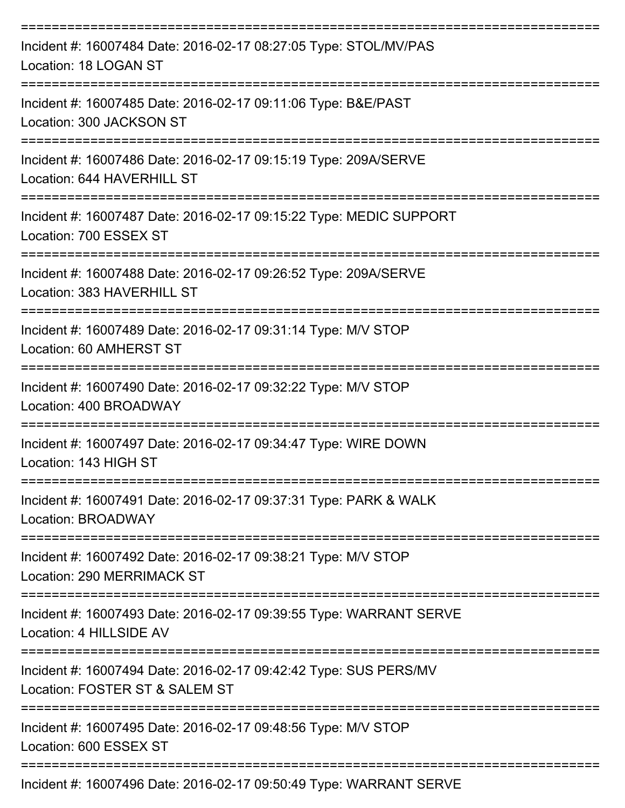| Incident #: 16007484 Date: 2016-02-17 08:27:05 Type: STOL/MV/PAS<br>Location: 18 LOGAN ST          |
|----------------------------------------------------------------------------------------------------|
| Incident #: 16007485 Date: 2016-02-17 09:11:06 Type: B&E/PAST<br>Location: 300 JACKSON ST          |
| Incident #: 16007486 Date: 2016-02-17 09:15:19 Type: 209A/SERVE<br>Location: 644 HAVERHILL ST      |
| Incident #: 16007487 Date: 2016-02-17 09:15:22 Type: MEDIC SUPPORT<br>Location: 700 ESSEX ST       |
| Incident #: 16007488 Date: 2016-02-17 09:26:52 Type: 209A/SERVE<br>Location: 383 HAVERHILL ST      |
| Incident #: 16007489 Date: 2016-02-17 09:31:14 Type: M/V STOP<br>Location: 60 AMHERST ST           |
| Incident #: 16007490 Date: 2016-02-17 09:32:22 Type: M/V STOP<br>Location: 400 BROADWAY            |
| Incident #: 16007497 Date: 2016-02-17 09:34:47 Type: WIRE DOWN<br>Location: 143 HIGH ST            |
| Incident #: 16007491 Date: 2016-02-17 09:37:31 Type: PARK & WALK<br>Location: BROADWAY             |
| Incident #: 16007492 Date: 2016-02-17 09:38:21 Type: M/V STOP<br>Location: 290 MERRIMACK ST        |
| Incident #: 16007493 Date: 2016-02-17 09:39:55 Type: WARRANT SERVE<br>Location: 4 HILLSIDE AV      |
| Incident #: 16007494 Date: 2016-02-17 09:42:42 Type: SUS PERS/MV<br>Location: FOSTER ST & SALEM ST |
| Incident #: 16007495 Date: 2016-02-17 09:48:56 Type: M/V STOP<br>Location: 600 ESSEX ST            |
|                                                                                                    |

Incident #: 16007496 Date: 2016-02-17 09:50:49 Type: WARRANT SERVE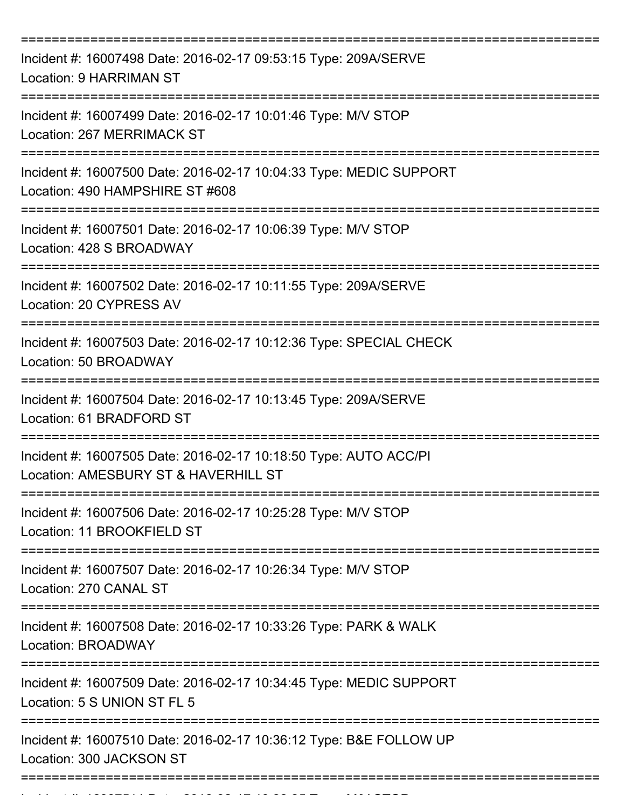| Incident #: 16007498 Date: 2016-02-17 09:53:15 Type: 209A/SERVE<br><b>Location: 9 HARRIMAN ST</b>        |
|----------------------------------------------------------------------------------------------------------|
| Incident #: 16007499 Date: 2016-02-17 10:01:46 Type: M/V STOP<br>Location: 267 MERRIMACK ST              |
| Incident #: 16007500 Date: 2016-02-17 10:04:33 Type: MEDIC SUPPORT<br>Location: 490 HAMPSHIRE ST #608    |
| Incident #: 16007501 Date: 2016-02-17 10:06:39 Type: M/V STOP<br>Location: 428 S BROADWAY                |
| Incident #: 16007502 Date: 2016-02-17 10:11:55 Type: 209A/SERVE<br>Location: 20 CYPRESS AV               |
| Incident #: 16007503 Date: 2016-02-17 10:12:36 Type: SPECIAL CHECK<br>Location: 50 BROADWAY              |
| Incident #: 16007504 Date: 2016-02-17 10:13:45 Type: 209A/SERVE<br>Location: 61 BRADFORD ST              |
| Incident #: 16007505 Date: 2016-02-17 10:18:50 Type: AUTO ACC/PI<br>Location: AMESBURY ST & HAVERHILL ST |
| Incident #: 16007506 Date: 2016-02-17 10:25:28 Type: M/V STOP<br>Location: 11 BROOKFIELD ST              |
| Incident #: 16007507 Date: 2016-02-17 10:26:34 Type: M/V STOP<br>Location: 270 CANAL ST                  |
| Incident #: 16007508 Date: 2016-02-17 10:33:26 Type: PARK & WALK<br>Location: BROADWAY                   |
| Incident #: 16007509 Date: 2016-02-17 10:34:45 Type: MEDIC SUPPORT<br>Location: 5 S UNION ST FL 5        |
| Incident #: 16007510 Date: 2016-02-17 10:36:12 Type: B&E FOLLOW UP<br>Location: 300 JACKSON ST           |
|                                                                                                          |

Incident #: 16007511 Date: 2016 02 17 10:38:35 Type: M/V STOP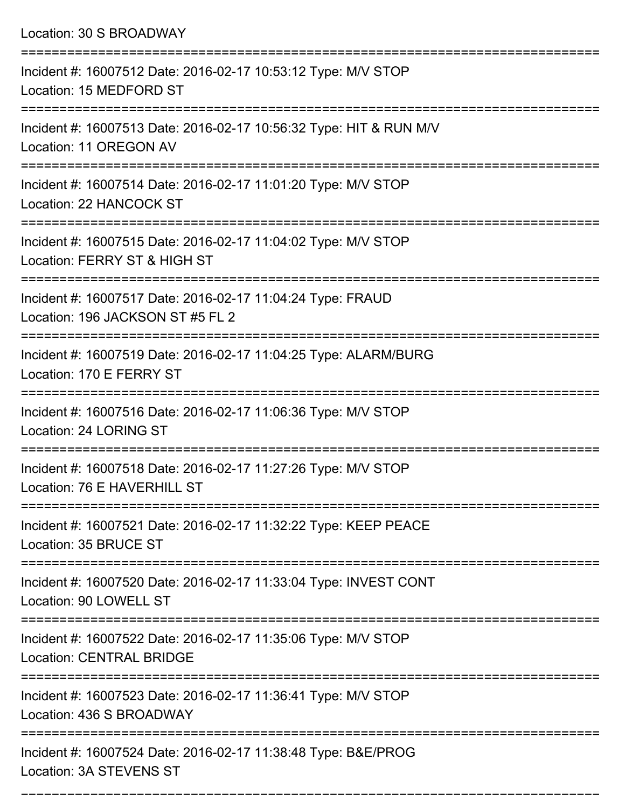Location: 30 S BROADWAY =========================================================================== Incident #: 16007512 Date: 2016-02-17 10:53:12 Type: M/V STOP Location: 15 MEDFORD ST =========================================================================== Incident #: 16007513 Date: 2016-02-17 10:56:32 Type: HIT & RUN M/V Location: 11 OREGON AV =========================================================================== Incident #: 16007514 Date: 2016-02-17 11:01:20 Type: M/V STOP Location: 22 HANCOCK ST =========================================================================== Incident #: 16007515 Date: 2016-02-17 11:04:02 Type: M/V STOP Location: FERRY ST & HIGH ST =========================================================================== Incident #: 16007517 Date: 2016-02-17 11:04:24 Type: FRAUD Location: 196 JACKSON ST #5 FL 2 =========================================================================== Incident #: 16007519 Date: 2016-02-17 11:04:25 Type: ALARM/BURG Location: 170 E FERRY ST =========================================================================== Incident #: 16007516 Date: 2016-02-17 11:06:36 Type: M/V STOP Location: 24 LORING ST =========================================================================== Incident #: 16007518 Date: 2016-02-17 11:27:26 Type: M/V STOP Location: 76 F HAVERHILL ST =========================================================================== Incident #: 16007521 Date: 2016-02-17 11:32:22 Type: KEEP PEACE Location: 35 BRUCE ST =========================================================================== Incident #: 16007520 Date: 2016-02-17 11:33:04 Type: INVEST CONT Location: 90 LOWELL ST =========================================================================== Incident #: 16007522 Date: 2016-02-17 11:35:06 Type: M/V STOP Location: CENTRAL BRIDGE =========================================================================== Incident #: 16007523 Date: 2016-02-17 11:36:41 Type: M/V STOP Location: 436 S BROADWAY =========================================================================== Incident #: 16007524 Date: 2016-02-17 11:38:48 Type: B&E/PROG Location: 3A STEVENS ST

===========================================================================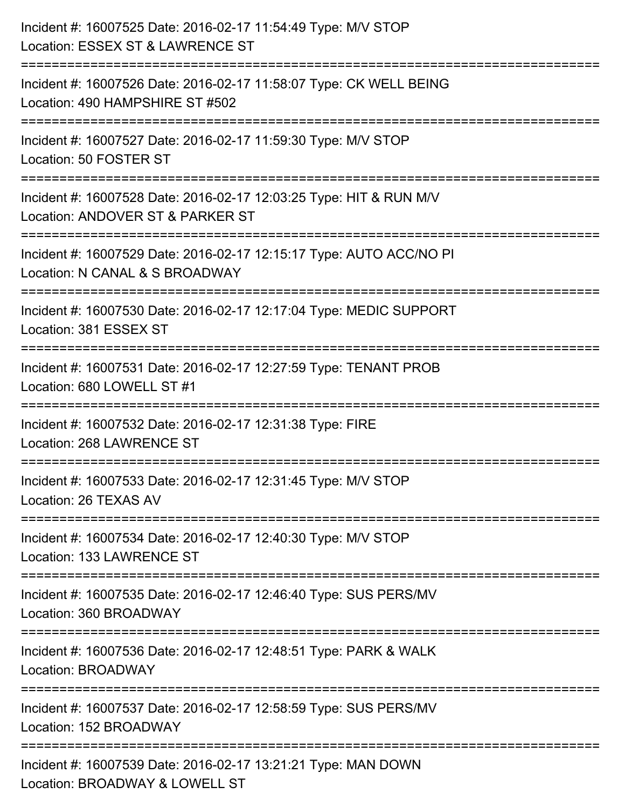| Incident #: 16007525 Date: 2016-02-17 11:54:49 Type: M/V STOP<br>Location: ESSEX ST & LAWRENCE ST                        |
|--------------------------------------------------------------------------------------------------------------------------|
| Incident #: 16007526 Date: 2016-02-17 11:58:07 Type: CK WELL BEING<br>Location: 490 HAMPSHIRE ST #502                    |
| Incident #: 16007527 Date: 2016-02-17 11:59:30 Type: M/V STOP<br>Location: 50 FOSTER ST<br>============================= |
| Incident #: 16007528 Date: 2016-02-17 12:03:25 Type: HIT & RUN M/V<br>Location: ANDOVER ST & PARKER ST                   |
| Incident #: 16007529 Date: 2016-02-17 12:15:17 Type: AUTO ACC/NO PI<br>Location: N CANAL & S BROADWAY                    |
| Incident #: 16007530 Date: 2016-02-17 12:17:04 Type: MEDIC SUPPORT<br>Location: 381 ESSEX ST<br>--------------------     |
| Incident #: 16007531 Date: 2016-02-17 12:27:59 Type: TENANT PROB<br>Location: 680 LOWELL ST #1                           |
| Incident #: 16007532 Date: 2016-02-17 12:31:38 Type: FIRE<br>Location: 268 LAWRENCE ST                                   |
| Incident #: 16007533 Date: 2016-02-17 12:31:45 Type: M/V STOP<br>Location: 26 TEXAS AV                                   |
| Incident #: 16007534 Date: 2016-02-17 12:40:30 Type: M/V STOP<br>Location: 133 LAWRENCE ST                               |
| Incident #: 16007535 Date: 2016-02-17 12:46:40 Type: SUS PERS/MV<br>Location: 360 BROADWAY                               |
| Incident #: 16007536 Date: 2016-02-17 12:48:51 Type: PARK & WALK<br>Location: BROADWAY                                   |
| Incident #: 16007537 Date: 2016-02-17 12:58:59 Type: SUS PERS/MV<br>Location: 152 BROADWAY                               |
| Incident #: 16007539 Date: 2016-02-17 13:21:21 Type: MAN DOWN<br>Location: BROADWAY & LOWELL ST                          |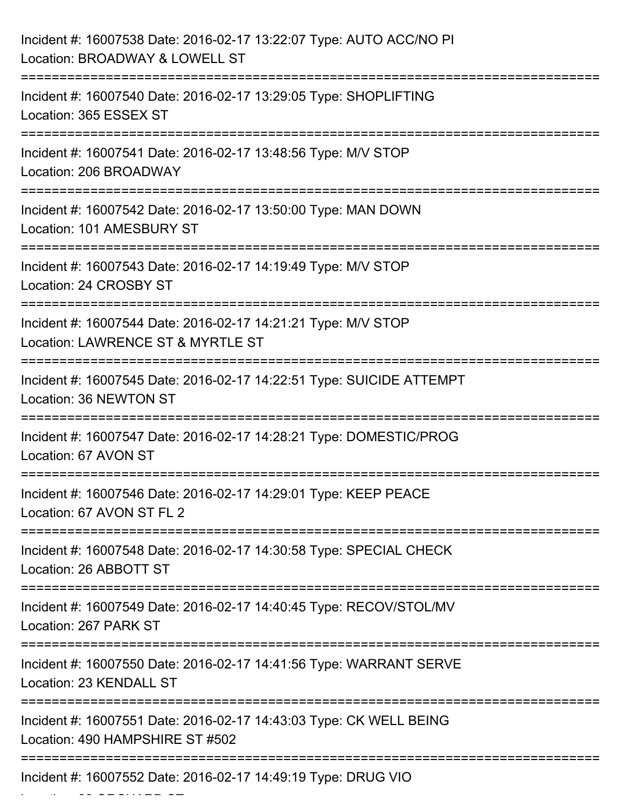| Incident #: 16007538 Date: 2016-02-17 13:22:07 Type: AUTO ACC/NO PI<br>Location: BROADWAY & LOWELL ST                            |
|----------------------------------------------------------------------------------------------------------------------------------|
| Incident #: 16007540 Date: 2016-02-17 13:29:05 Type: SHOPLIFTING<br>Location: 365 ESSEX ST                                       |
| Incident #: 16007541 Date: 2016-02-17 13:48:56 Type: M/V STOP<br>Location: 206 BROADWAY                                          |
| Incident #: 16007542 Date: 2016-02-17 13:50:00 Type: MAN DOWN<br>Location: 101 AMESBURY ST                                       |
| Incident #: 16007543 Date: 2016-02-17 14:19:49 Type: M/V STOP<br>Location: 24 CROSBY ST                                          |
| Incident #: 16007544 Date: 2016-02-17 14:21:21 Type: M/V STOP<br>Location: LAWRENCE ST & MYRTLE ST                               |
| Incident #: 16007545 Date: 2016-02-17 14:22:51 Type: SUICIDE ATTEMPT<br>Location: 36 NEWTON ST                                   |
| Incident #: 16007547 Date: 2016-02-17 14:28:21 Type: DOMESTIC/PROG<br>Location: 67 AVON ST                                       |
| Incident #: 16007546 Date: 2016-02-17 14:29:01 Type: KEEP PEACE<br>Location: 67 AVON ST FL 2                                     |
| Incident #: 16007548 Date: 2016-02-17 14:30:58 Type: SPECIAL CHECK<br>Location: 26 ABBOTT ST                                     |
| Incident #: 16007549 Date: 2016-02-17 14:40:45 Type: RECOV/STOL/MV<br>Location: 267 PARK ST                                      |
| Incident #: 16007550 Date: 2016-02-17 14:41:56 Type: WARRANT SERVE<br>Location: 23 KENDALL ST                                    |
| =======================<br>Incident #: 16007551 Date: 2016-02-17 14:43:03 Type: CK WELL BEING<br>Location: 490 HAMPSHIRE ST #502 |
| Incident #: 16007552 Date: 2016-02-17 14:49:19 Type: DRUG VIO                                                                    |

Location: 82 ORCHARD ST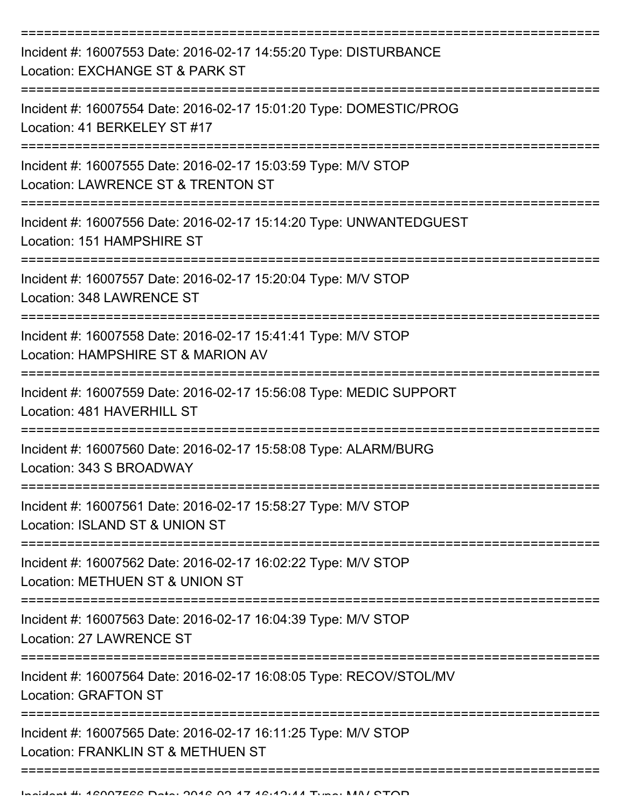| Incident #: 16007553 Date: 2016-02-17 14:55:20 Type: DISTURBANCE<br>Location: EXCHANGE ST & PARK ST |
|-----------------------------------------------------------------------------------------------------|
| Incident #: 16007554 Date: 2016-02-17 15:01:20 Type: DOMESTIC/PROG<br>Location: 41 BERKELEY ST #17  |
| Incident #: 16007555 Date: 2016-02-17 15:03:59 Type: M/V STOP<br>Location: LAWRENCE ST & TRENTON ST |
| Incident #: 16007556 Date: 2016-02-17 15:14:20 Type: UNWANTEDGUEST<br>Location: 151 HAMPSHIRE ST    |
| Incident #: 16007557 Date: 2016-02-17 15:20:04 Type: M/V STOP<br>Location: 348 LAWRENCE ST          |
| Incident #: 16007558 Date: 2016-02-17 15:41:41 Type: M/V STOP<br>Location: HAMPSHIRE ST & MARION AV |
| Incident #: 16007559 Date: 2016-02-17 15:56:08 Type: MEDIC SUPPORT<br>Location: 481 HAVERHILL ST    |
| Incident #: 16007560 Date: 2016-02-17 15:58:08 Type: ALARM/BURG<br>Location: 343 S BROADWAY         |
| Incident #: 16007561 Date: 2016-02-17 15:58:27 Type: M/V STOP<br>Location: ISLAND ST & UNION ST     |
| Incident #: 16007562 Date: 2016-02-17 16:02:22 Type: M/V STOP<br>Location: METHUEN ST & UNION ST    |
| Incident #: 16007563 Date: 2016-02-17 16:04:39 Type: M/V STOP<br>Location: 27 LAWRENCE ST           |
| Incident #: 16007564 Date: 2016-02-17 16:08:05 Type: RECOV/STOL/MV<br><b>Location: GRAFTON ST</b>   |
| Incident #: 16007565 Date: 2016-02-17 16:11:25 Type: M/V STOP<br>Location: FRANKLIN ST & METHUEN ST |
|                                                                                                     |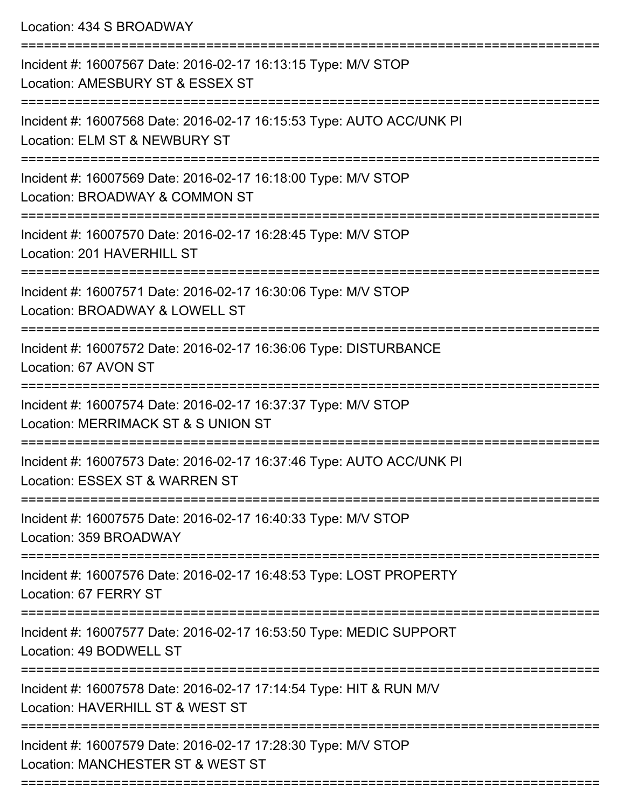Location: 434 S BROADWAY

| Incident #: 16007567 Date: 2016-02-17 16:13:15 Type: M/V STOP<br>Location: AMESBURY ST & ESSEX ST      |
|--------------------------------------------------------------------------------------------------------|
| Incident #: 16007568 Date: 2016-02-17 16:15:53 Type: AUTO ACC/UNK PI<br>Location: ELM ST & NEWBURY ST  |
| Incident #: 16007569 Date: 2016-02-17 16:18:00 Type: M/V STOP<br>Location: BROADWAY & COMMON ST        |
| Incident #: 16007570 Date: 2016-02-17 16:28:45 Type: M/V STOP<br>Location: 201 HAVERHILL ST            |
| Incident #: 16007571 Date: 2016-02-17 16:30:06 Type: M/V STOP<br>Location: BROADWAY & LOWELL ST        |
| Incident #: 16007572 Date: 2016-02-17 16:36:06 Type: DISTURBANCE<br>Location: 67 AVON ST               |
| Incident #: 16007574 Date: 2016-02-17 16:37:37 Type: M/V STOP<br>Location: MERRIMACK ST & S UNION ST   |
| Incident #: 16007573 Date: 2016-02-17 16:37:46 Type: AUTO ACC/UNK PI<br>Location: ESSEX ST & WARREN ST |
| Incident #: 16007575 Date: 2016-02-17 16:40:33 Type: M/V STOP<br>Location: 359 BROADWAY                |
| Incident #: 16007576 Date: 2016-02-17 16:48:53 Type: LOST PROPERTY<br>Location: 67 FERRY ST            |
| Incident #: 16007577 Date: 2016-02-17 16:53:50 Type: MEDIC SUPPORT<br>Location: 49 BODWELL ST          |
| Incident #: 16007578 Date: 2016-02-17 17:14:54 Type: HIT & RUN M/V<br>Location: HAVERHILL ST & WEST ST |
| Incident #: 16007579 Date: 2016-02-17 17:28:30 Type: M/V STOP<br>Location: MANCHESTER ST & WEST ST     |
|                                                                                                        |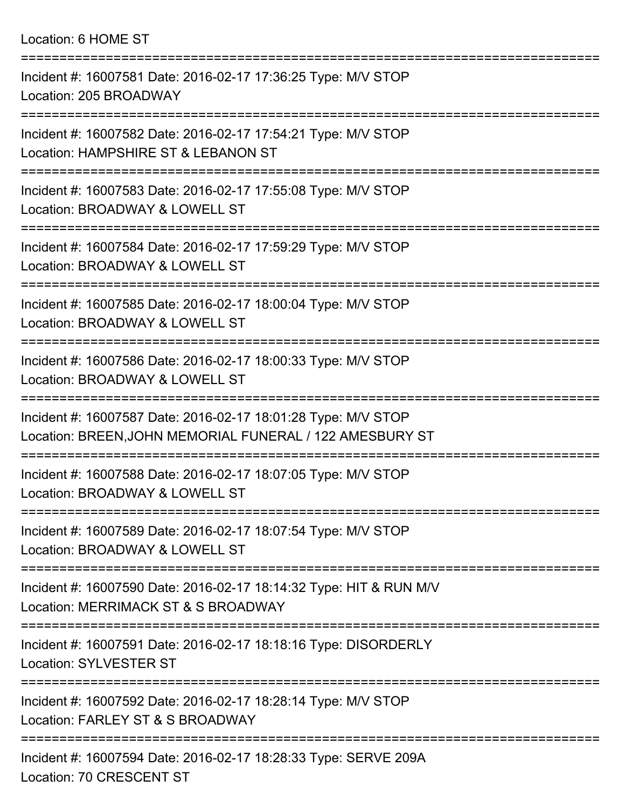Location: 6 HOME ST

| Incident #: 16007581 Date: 2016-02-17 17:36:25 Type: M/V STOP<br>Location: 205 BROADWAY<br>-------------                  |
|---------------------------------------------------------------------------------------------------------------------------|
| Incident #: 16007582 Date: 2016-02-17 17:54:21 Type: M/V STOP<br>Location: HAMPSHIRE ST & LEBANON ST                      |
| Incident #: 16007583 Date: 2016-02-17 17:55:08 Type: M/V STOP<br>Location: BROADWAY & LOWELL ST                           |
| Incident #: 16007584 Date: 2016-02-17 17:59:29 Type: M/V STOP<br>Location: BROADWAY & LOWELL ST                           |
| Incident #: 16007585 Date: 2016-02-17 18:00:04 Type: M/V STOP<br>Location: BROADWAY & LOWELL ST                           |
| Incident #: 16007586 Date: 2016-02-17 18:00:33 Type: M/V STOP<br>Location: BROADWAY & LOWELL ST                           |
| Incident #: 16007587 Date: 2016-02-17 18:01:28 Type: M/V STOP<br>Location: BREEN, JOHN MEMORIAL FUNERAL / 122 AMESBURY ST |
| Incident #: 16007588 Date: 2016-02-17 18:07:05 Type: M/V STOP<br>Location: BROADWAY & LOWELL ST                           |
| Incident #: 16007589 Date: 2016-02-17 18:07:54 Type: M/V STOP<br>Location: BROADWAY & LOWELL ST                           |
| Incident #: 16007590 Date: 2016-02-17 18:14:32 Type: HIT & RUN M/V<br>Location: MERRIMACK ST & S BROADWAY                 |
| Incident #: 16007591 Date: 2016-02-17 18:18:16 Type: DISORDERLY<br><b>Location: SYLVESTER ST</b>                          |
| Incident #: 16007592 Date: 2016-02-17 18:28:14 Type: M/V STOP<br>Location: FARLEY ST & S BROADWAY                         |
| Incident #: 16007594 Date: 2016-02-17 18:28:33 Type: SERVE 209A<br>Location: 70 CRESCENT ST                               |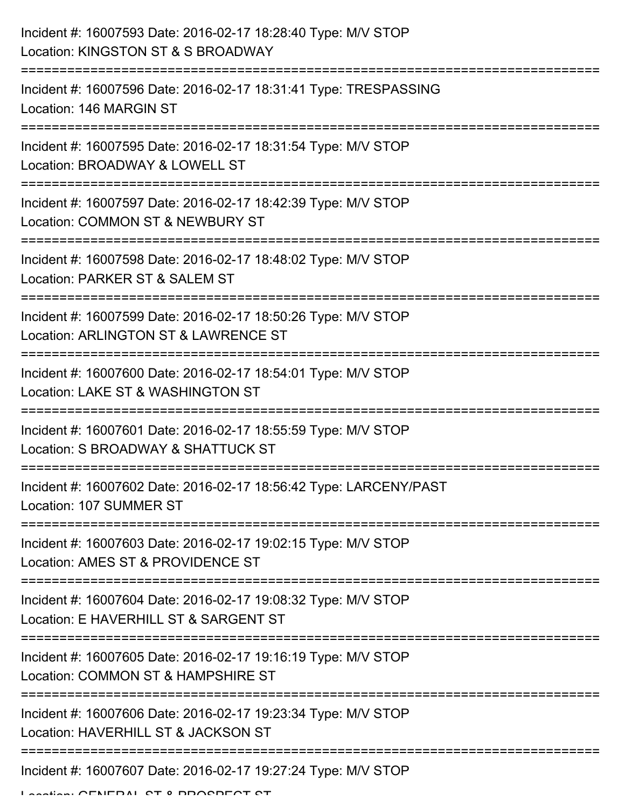| Incident #: 16007593 Date: 2016-02-17 18:28:40 Type: M/V STOP<br>Location: KINGSTON ST & S BROADWAY    |
|--------------------------------------------------------------------------------------------------------|
| Incident #: 16007596 Date: 2016-02-17 18:31:41 Type: TRESPASSING<br>Location: 146 MARGIN ST            |
| Incident #: 16007595 Date: 2016-02-17 18:31:54 Type: M/V STOP<br>Location: BROADWAY & LOWELL ST        |
| Incident #: 16007597 Date: 2016-02-17 18:42:39 Type: M/V STOP<br>Location: COMMON ST & NEWBURY ST      |
| Incident #: 16007598 Date: 2016-02-17 18:48:02 Type: M/V STOP<br>Location: PARKER ST & SALEM ST        |
| Incident #: 16007599 Date: 2016-02-17 18:50:26 Type: M/V STOP<br>Location: ARLINGTON ST & LAWRENCE ST  |
| Incident #: 16007600 Date: 2016-02-17 18:54:01 Type: M/V STOP<br>Location: LAKE ST & WASHINGTON ST     |
| Incident #: 16007601 Date: 2016-02-17 18:55:59 Type: M/V STOP<br>Location: S BROADWAY & SHATTUCK ST    |
| Incident #: 16007602 Date: 2016-02-17 18:56:42 Type: LARCENY/PAST<br>Location: 107 SUMMER ST           |
| Incident #: 16007603 Date: 2016-02-17 19:02:15 Type: M/V STOP<br>Location: AMES ST & PROVIDENCE ST     |
| Incident #: 16007604 Date: 2016-02-17 19:08:32 Type: M/V STOP<br>Location: E HAVERHILL ST & SARGENT ST |
| Incident #: 16007605 Date: 2016-02-17 19:16:19 Type: M/V STOP<br>Location: COMMON ST & HAMPSHIRE ST    |
| Incident #: 16007606 Date: 2016-02-17 19:23:34 Type: M/V STOP<br>Location: HAVERHILL ST & JACKSON ST   |
| Incident #: 16007607 Date: 2016-02-17 19:27:24 Type: M/V STOP                                          |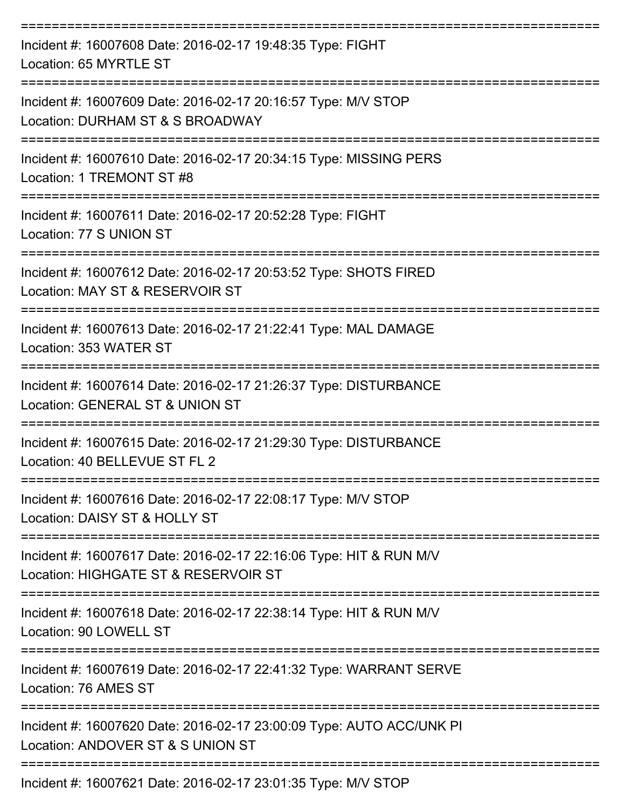| Incident #: 16007608 Date: 2016-02-17 19:48:35 Type: FIGHT<br>Location: 65 MYRTLE ST                       |
|------------------------------------------------------------------------------------------------------------|
| Incident #: 16007609 Date: 2016-02-17 20:16:57 Type: M/V STOP<br>Location: DURHAM ST & S BROADWAY          |
| Incident #: 16007610 Date: 2016-02-17 20:34:15 Type: MISSING PERS<br>Location: 1 TREMONT ST #8             |
| Incident #: 16007611 Date: 2016-02-17 20:52:28 Type: FIGHT<br>Location: 77 S UNION ST                      |
| Incident #: 16007612 Date: 2016-02-17 20:53:52 Type: SHOTS FIRED<br>Location: MAY ST & RESERVOIR ST        |
| Incident #: 16007613 Date: 2016-02-17 21:22:41 Type: MAL DAMAGE<br>Location: 353 WATER ST                  |
| Incident #: 16007614 Date: 2016-02-17 21:26:37 Type: DISTURBANCE<br>Location: GENERAL ST & UNION ST        |
| Incident #: 16007615 Date: 2016-02-17 21:29:30 Type: DISTURBANCE<br>Location: 40 BELLEVUE ST FL 2          |
| Incident #: 16007616 Date: 2016-02-17 22:08:17 Type: M/V STOP<br>Location: DAISY ST & HOLLY ST             |
| Incident #: 16007617 Date: 2016-02-17 22:16:06 Type: HIT & RUN M/V<br>Location: HIGHGATE ST & RESERVOIR ST |
| Incident #: 16007618 Date: 2016-02-17 22:38:14 Type: HIT & RUN M/V<br>Location: 90 LOWELL ST               |
| Incident #: 16007619 Date: 2016-02-17 22:41:32 Type: WARRANT SERVE<br>Location: 76 AMES ST                 |
| Incident #: 16007620 Date: 2016-02-17 23:00:09 Type: AUTO ACC/UNK PI<br>Location: ANDOVER ST & S UNION ST  |
| Incident #: 16007621 Date: 2016-02-17 23:01:35 Type: M/V STOP                                              |